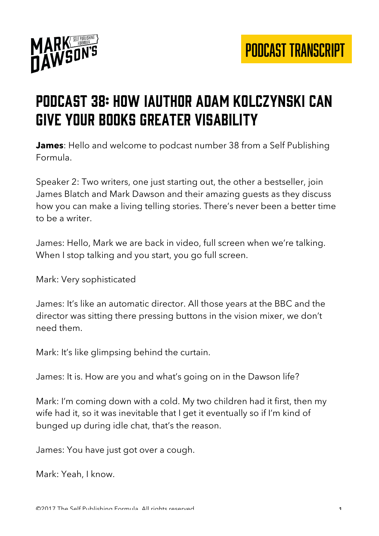

#### Podcast 38: How iauthor Adam Kolczynski can give your books greater visability

**James**: Hello and welcome to podcast number 38 from a Self Publishing Formula.

Speaker 2: Two writers, one just starting out, the other a bestseller, join James Blatch and Mark Dawson and their amazing guests as they discuss how you can make a living telling stories. There's never been a better time to be a writer.

James: Hello, Mark we are back in video, full screen when we're talking. When I stop talking and you start, you go full screen.

Mark: Very sophisticated

James: It's like an automatic director. All those years at the BBC and the director was sitting there pressing buttons in the vision mixer, we don't need them.

Mark: It's like glimpsing behind the curtain.

James: It is. How are you and what's going on in the Dawson life?

Mark: I'm coming down with a cold. My two children had it first, then my wife had it, so it was inevitable that I get it eventually so if I'm kind of bunged up during idle chat, that's the reason.

James: You have just got over a cough.

Mark: Yeah, I know.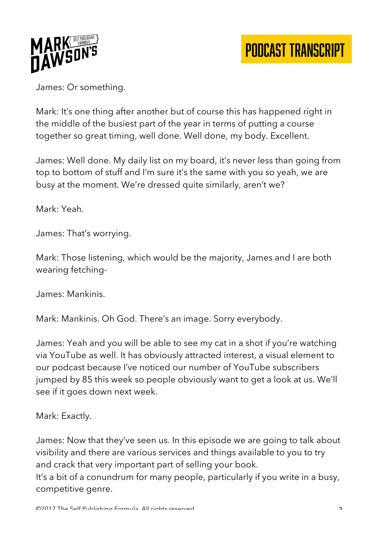

James: Or something.

Mark: It's one thing after another but of course this has happened right in the middle of the busiest part of the year in terms of putting a course together so great timing, well done. Well done, my body. Excellent.

James: Well done. My daily list on my board, it's never less than going from top to bottom of stuff and I'm sure it's the same with you so yeah, we are busy at the moment. We're dressed quite similarly, aren't we?

Mark: Yeah.

James: That's worrying.

Mark: Those listening, which would be the majority, James and I are both wearing fetching-

James: Mankinis.

Mark: Mankinis. Oh God. There's an image. Sorry everybody.

James: Yeah and you will be able to see my cat in a shot if you're watching via YouTube as well. It has obviously attracted interest, a visual element to our podcast because I've noticed our number of YouTube subscribers jumped by 85 this week so people obviously want to get a look at us. We'll see if it goes down next week.

Mark: Exactly.

James: Now that they've seen us. In this episode we are going to talk about visibility and there are various services and things available to you to try and crack that very important part of selling your book.

It's a bit of a conundrum for many people, particularly if you write in a busy, competitive genre.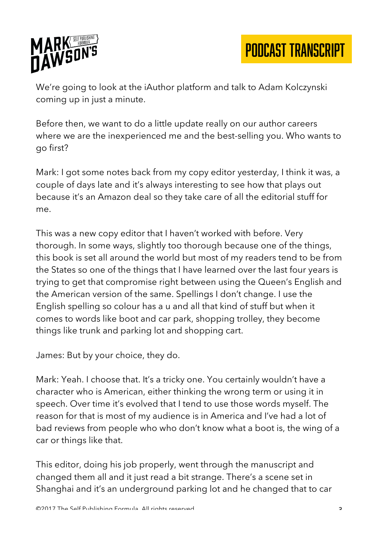

We're going to look at the iAuthor platform and talk to Adam Kolczynski coming up in just a minute.

Before then, we want to do a little update really on our author careers where we are the inexperienced me and the best-selling you. Who wants to go first?

Mark: I got some notes back from my copy editor yesterday, I think it was, a couple of days late and it's always interesting to see how that plays out because it's an Amazon deal so they take care of all the editorial stuff for me.

This was a new copy editor that I haven't worked with before. Very thorough. In some ways, slightly too thorough because one of the things, this book is set all around the world but most of my readers tend to be from the States so one of the things that I have learned over the last four years is trying to get that compromise right between using the Queen's English and the American version of the same. Spellings I don't change. I use the English spelling so colour has a u and all that kind of stuff but when it comes to words like boot and car park, shopping trolley, they become things like trunk and parking lot and shopping cart.

James: But by your choice, they do.

Mark: Yeah. I choose that. It's a tricky one. You certainly wouldn't have a character who is American, either thinking the wrong term or using it in speech. Over time it's evolved that I tend to use those words myself. The reason for that is most of my audience is in America and I've had a lot of bad reviews from people who who don't know what a boot is, the wing of a car or things like that.

This editor, doing his job properly, went through the manuscript and changed them all and it just read a bit strange. There's a scene set in Shanghai and it's an underground parking lot and he changed that to car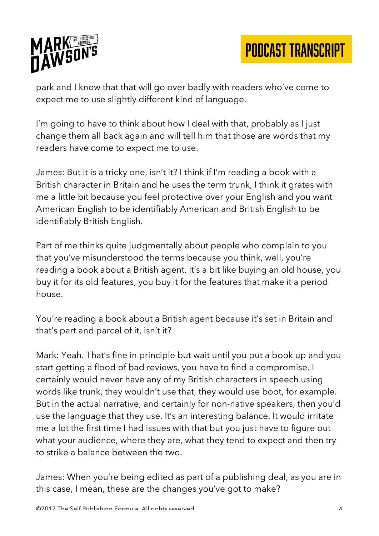

park and I know that that will go over badly with readers who've come to expect me to use slightly different kind of language.

I'm going to have to think about how I deal with that, probably as I just change them all back again and will tell him that those are words that my readers have come to expect me to use.

James: But it is a tricky one, isn't it? I think if I'm reading a book with a British character in Britain and he uses the term trunk, I think it grates with me a little bit because you feel protective over your English and you want American English to be identifiably American and British English to be identifiably British English.

Part of me thinks quite judgmentally about people who complain to you that you've misunderstood the terms because you think, well, you're reading a book about a British agent. It's a bit like buying an old house, you buy it for its old features, you buy it for the features that make it a period house.

You're reading a book about a British agent because it's set in Britain and that's part and parcel of it, isn't it?

Mark: Yeah. That's fine in principle but wait until you put a book up and you start getting a flood of bad reviews, you have to find a compromise. I certainly would never have any of my British characters in speech using words like trunk, they wouldn't use that, they would use boot, for example. But in the actual narrative, and certainly for non-native speakers, then you'd use the language that they use. It's an interesting balance. It would irritate me a lot the first time I had issues with that but you just have to figure out what your audience, where they are, what they tend to expect and then try to strike a balance between the two.

James: When you're being edited as part of a publishing deal, as you are in this case, I mean, these are the changes you've got to make?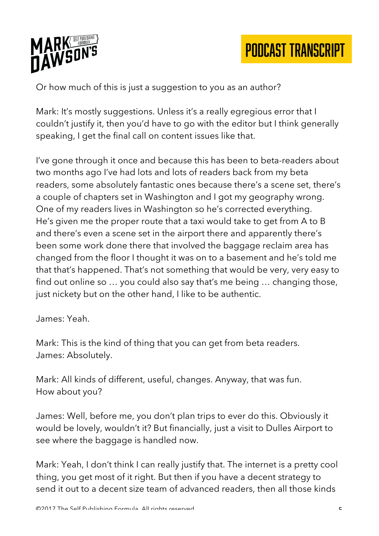

Or how much of this is just a suggestion to you as an author?

Mark: It's mostly suggestions. Unless it's a really egregious error that I couldn't justify it, then you'd have to go with the editor but I think generally speaking, I get the final call on content issues like that.

I've gone through it once and because this has been to beta-readers about two months ago I've had lots and lots of readers back from my beta readers, some absolutely fantastic ones because there's a scene set, there's a couple of chapters set in Washington and I got my geography wrong. One of my readers lives in Washington so he's corrected everything. He's given me the proper route that a taxi would take to get from A to B and there's even a scene set in the airport there and apparently there's been some work done there that involved the baggage reclaim area has changed from the floor I thought it was on to a basement and he's told me that that's happened. That's not something that would be very, very easy to find out online so … you could also say that's me being … changing those, just nickety but on the other hand, I like to be authentic.

James: Yeah.

Mark: This is the kind of thing that you can get from beta readers. James: Absolutely.

Mark: All kinds of different, useful, changes. Anyway, that was fun. How about you?

James: Well, before me, you don't plan trips to ever do this. Obviously it would be lovely, wouldn't it? But financially, just a visit to Dulles Airport to see where the baggage is handled now.

Mark: Yeah, I don't think I can really justify that. The internet is a pretty cool thing, you get most of it right. But then if you have a decent strategy to send it out to a decent size team of advanced readers, then all those kinds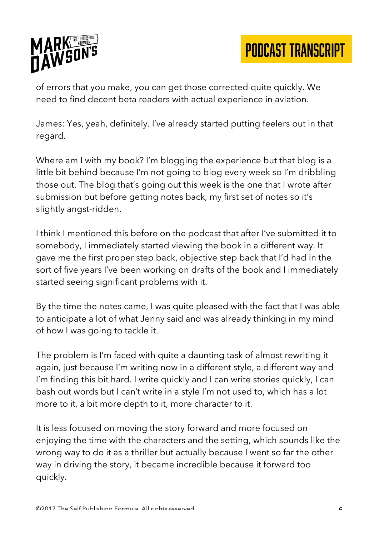

of errors that you make, you can get those corrected quite quickly. We need to find decent beta readers with actual experience in aviation.

James: Yes, yeah, definitely. I've already started putting feelers out in that regard.

Where am I with my book? I'm blogging the experience but that blog is a little bit behind because I'm not going to blog every week so I'm dribbling those out. The blog that's going out this week is the one that I wrote after submission but before getting notes back, my first set of notes so it's slightly angst-ridden.

I think I mentioned this before on the podcast that after I've submitted it to somebody, I immediately started viewing the book in a different way. It gave me the first proper step back, objective step back that I'd had in the sort of five years I've been working on drafts of the book and I immediately started seeing significant problems with it.

By the time the notes came, I was quite pleased with the fact that I was able to anticipate a lot of what Jenny said and was already thinking in my mind of how I was going to tackle it.

The problem is I'm faced with quite a daunting task of almost rewriting it again, just because I'm writing now in a different style, a different way and I'm finding this bit hard. I write quickly and I can write stories quickly, I can bash out words but I can't write in a style I'm not used to, which has a lot more to it, a bit more depth to it, more character to it.

It is less focused on moving the story forward and more focused on enjoying the time with the characters and the setting, which sounds like the wrong way to do it as a thriller but actually because I went so far the other way in driving the story, it became incredible because it forward too quickly.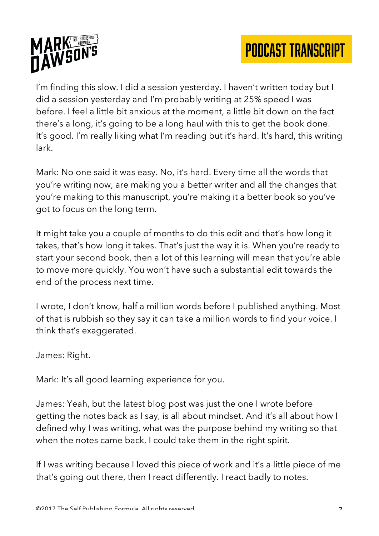

I'm finding this slow. I did a session yesterday. I haven't written today but I did a session yesterday and I'm probably writing at 25% speed I was before. I feel a little bit anxious at the moment, a little bit down on the fact there's a long, it's going to be a long haul with this to get the book done. It's good. I'm really liking what I'm reading but it's hard. It's hard, this writing lark.

Mark: No one said it was easy. No, it's hard. Every time all the words that you're writing now, are making you a better writer and all the changes that you're making to this manuscript, you're making it a better book so you've got to focus on the long term.

It might take you a couple of months to do this edit and that's how long it takes, that's how long it takes. That's just the way it is. When you're ready to start your second book, then a lot of this learning will mean that you're able to move more quickly. You won't have such a substantial edit towards the end of the process next time.

I wrote, I don't know, half a million words before I published anything. Most of that is rubbish so they say it can take a million words to find your voice. I think that's exaggerated.

James: Right.

Mark: It's all good learning experience for you.

James: Yeah, but the latest blog post was just the one I wrote before getting the notes back as I say, is all about mindset. And it's all about how I defined why I was writing, what was the purpose behind my writing so that when the notes came back, I could take them in the right spirit.

If I was writing because I loved this piece of work and it's a little piece of me that's going out there, then I react differently. I react badly to notes.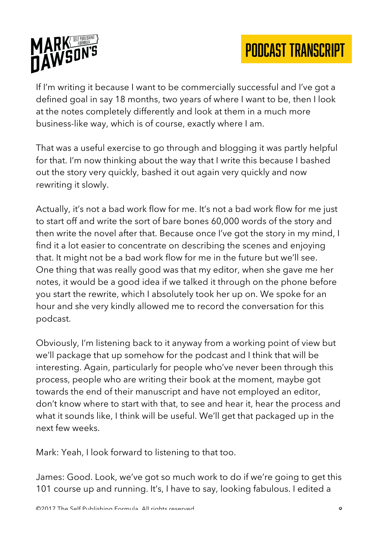

If I'm writing it because I want to be commercially successful and I've got a defined goal in say 18 months, two years of where I want to be, then I look at the notes completely differently and look at them in a much more business-like way, which is of course, exactly where I am.

That was a useful exercise to go through and blogging it was partly helpful for that. I'm now thinking about the way that I write this because I bashed out the story very quickly, bashed it out again very quickly and now rewriting it slowly.

Actually, it's not a bad work flow for me. It's not a bad work flow for me just to start off and write the sort of bare bones 60,000 words of the story and then write the novel after that. Because once I've got the story in my mind, I find it a lot easier to concentrate on describing the scenes and enjoying that. It might not be a bad work flow for me in the future but we'll see. One thing that was really good was that my editor, when she gave me her notes, it would be a good idea if we talked it through on the phone before you start the rewrite, which I absolutely took her up on. We spoke for an hour and she very kindly allowed me to record the conversation for this podcast.

Obviously, I'm listening back to it anyway from a working point of view but we'll package that up somehow for the podcast and I think that will be interesting. Again, particularly for people who've never been through this process, people who are writing their book at the moment, maybe got towards the end of their manuscript and have not employed an editor, don't know where to start with that, to see and hear it, hear the process and what it sounds like, I think will be useful. We'll get that packaged up in the next few weeks.

Mark: Yeah, I look forward to listening to that too.

James: Good. Look, we've got so much work to do if we're going to get this 101 course up and running. It's, I have to say, looking fabulous. I edited a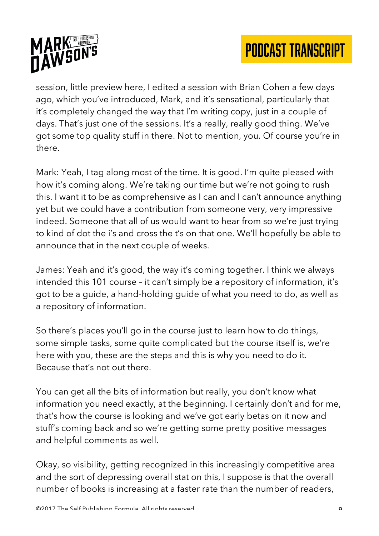

session, little preview here, I edited a session with Brian Cohen a few days ago, which you've introduced, Mark, and it's sensational, particularly that it's completely changed the way that I'm writing copy, just in a couple of days. That's just one of the sessions. It's a really, really good thing. We've got some top quality stuff in there. Not to mention, you. Of course you're in there.

Mark: Yeah, I tag along most of the time. It is good. I'm quite pleased with how it's coming along. We're taking our time but we're not going to rush this. I want it to be as comprehensive as I can and I can't announce anything yet but we could have a contribution from someone very, very impressive indeed. Someone that all of us would want to hear from so we're just trying to kind of dot the i's and cross the t's on that one. We'll hopefully be able to announce that in the next couple of weeks.

James: Yeah and it's good, the way it's coming together. I think we always intended this 101 course – it can't simply be a repository of information, it's got to be a guide, a hand-holding guide of what you need to do, as well as a repository of information.

So there's places you'll go in the course just to learn how to do things, some simple tasks, some quite complicated but the course itself is, we're here with you, these are the steps and this is why you need to do it. Because that's not out there.

You can get all the bits of information but really, you don't know what information you need exactly, at the beginning. I certainly don't and for me, that's how the course is looking and we've got early betas on it now and stuff's coming back and so we're getting some pretty positive messages and helpful comments as well.

Okay, so visibility, getting recognized in this increasingly competitive area and the sort of depressing overall stat on this, I suppose is that the overall number of books is increasing at a faster rate than the number of readers,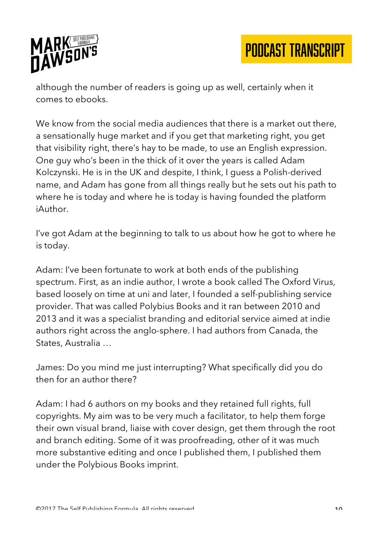

although the number of readers is going up as well, certainly when it comes to ebooks.

We know from the social media audiences that there is a market out there, a sensationally huge market and if you get that marketing right, you get that visibility right, there's hay to be made, to use an English expression. One guy who's been in the thick of it over the years is called Adam Kolczynski. He is in the UK and despite, I think, I guess a Polish-derived name, and Adam has gone from all things really but he sets out his path to where he is today and where he is today is having founded the platform iAuthor.

I've got Adam at the beginning to talk to us about how he got to where he is today.

Adam: I've been fortunate to work at both ends of the publishing spectrum. First, as an indie author, I wrote a book called The Oxford Virus, based loosely on time at uni and later, I founded a self-publishing service provider. That was called Polybius Books and it ran between 2010 and 2013 and it was a specialist branding and editorial service aimed at indie authors right across the anglo-sphere. I had authors from Canada, the States, Australia …

James: Do you mind me just interrupting? What specifically did you do then for an author there?

Adam: I had 6 authors on my books and they retained full rights, full copyrights. My aim was to be very much a facilitator, to help them forge their own visual brand, liaise with cover design, get them through the root and branch editing. Some of it was proofreading, other of it was much more substantive editing and once I published them, I published them under the Polybious Books imprint.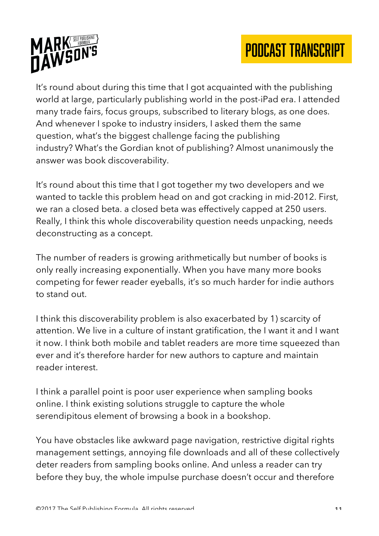

It's round about during this time that I got acquainted with the publishing world at large, particularly publishing world in the post-iPad era. I attended many trade fairs, focus groups, subscribed to literary blogs, as one does. And whenever I spoke to industry insiders, I asked them the same question, what's the biggest challenge facing the publishing industry? What's the Gordian knot of publishing? Almost unanimously the answer was book discoverability.

It's round about this time that I got together my two developers and we wanted to tackle this problem head on and got cracking in mid-2012. First, we ran a closed beta. a closed beta was effectively capped at 250 users. Really, I think this whole discoverability question needs unpacking, needs deconstructing as a concept.

The number of readers is growing arithmetically but number of books is only really increasing exponentially. When you have many more books competing for fewer reader eyeballs, it's so much harder for indie authors to stand out.

I think this discoverability problem is also exacerbated by 1) scarcity of attention. We live in a culture of instant gratification, the I want it and I want it now. I think both mobile and tablet readers are more time squeezed than ever and it's therefore harder for new authors to capture and maintain reader interest.

I think a parallel point is poor user experience when sampling books online. I think existing solutions struggle to capture the whole serendipitous element of browsing a book in a bookshop.

You have obstacles like awkward page navigation, restrictive digital rights management settings, annoying file downloads and all of these collectively deter readers from sampling books online. And unless a reader can try before they buy, the whole impulse purchase doesn't occur and therefore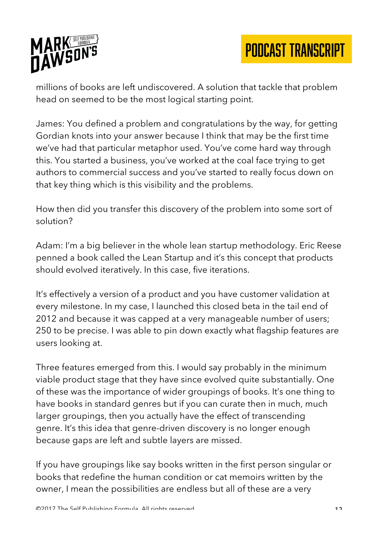

millions of books are left undiscovered. A solution that tackle that problem head on seemed to be the most logical starting point.

James: You defined a problem and congratulations by the way, for getting Gordian knots into your answer because I think that may be the first time we've had that particular metaphor used. You've come hard way through this. You started a business, you've worked at the coal face trying to get authors to commercial success and you've started to really focus down on that key thing which is this visibility and the problems.

How then did you transfer this discovery of the problem into some sort of solution?

Adam: I'm a big believer in the whole lean startup methodology. Eric Reese penned a book called the Lean Startup and it's this concept that products should evolved iteratively. In this case, five iterations.

It's effectively a version of a product and you have customer validation at every milestone. In my case, I launched this closed beta in the tail end of 2012 and because it was capped at a very manageable number of users; 250 to be precise. I was able to pin down exactly what flagship features are users looking at.

Three features emerged from this. I would say probably in the minimum viable product stage that they have since evolved quite substantially. One of these was the importance of wider groupings of books. It's one thing to have books in standard genres but if you can curate then in much, much larger groupings, then you actually have the effect of transcending genre. It's this idea that genre-driven discovery is no longer enough because gaps are left and subtle layers are missed.

If you have groupings like say books written in the first person singular or books that redefine the human condition or cat memoirs written by the owner, I mean the possibilities are endless but all of these are a very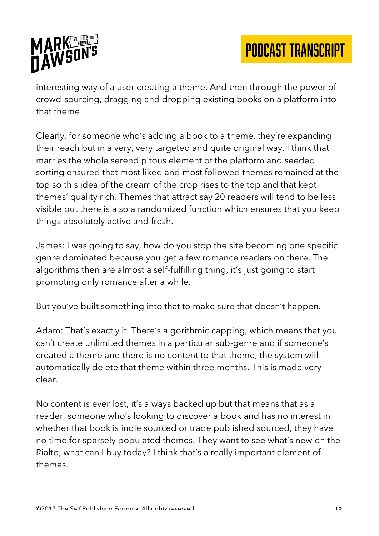

interesting way of a user creating a theme. And then through the power of crowd-sourcing, dragging and dropping existing books on a platform into that theme.

Clearly, for someone who's adding a book to a theme, they're expanding their reach but in a very, very targeted and quite original way. I think that marries the whole serendipitous element of the platform and seeded sorting ensured that most liked and most followed themes remained at the top so this idea of the cream of the crop rises to the top and that kept themes' quality rich. Themes that attract say 20 readers will tend to be less visible but there is also a randomized function which ensures that you keep things absolutely active and fresh.

James: I was going to say, how do you stop the site becoming one specific genre dominated because you get a few romance readers on there. The algorithms then are almost a self-fulfilling thing, it's just going to start promoting only romance after a while.

But you've built something into that to make sure that doesn't happen.

Adam: That's exactly it. There's algorithmic capping, which means that you can't create unlimited themes in a particular sub-genre and if someone's created a theme and there is no content to that theme, the system will automatically delete that theme within three months. This is made very clear.

No content is ever lost, it's always backed up but that means that as a reader, someone who's looking to discover a book and has no interest in whether that book is indie sourced or trade published sourced, they have no time for sparsely populated themes. They want to see what's new on the Rialto, what can I buy today? I think that's a really important element of themes.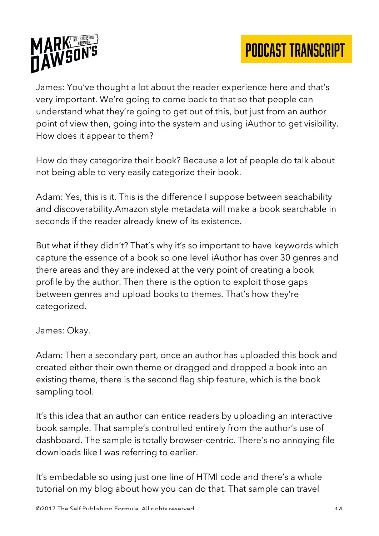

James: You've thought a lot about the reader experience here and that's very important. We're going to come back to that so that people can understand what they're going to get out of this, but just from an author point of view then, going into the system and using iAuthor to get visibility. How does it appear to them?

How do they categorize their book? Because a lot of people do talk about not being able to very easily categorize their book.

Adam: Yes, this is it. This is the difference I suppose between seachability and discoverability.Amazon style metadata will make a book searchable in seconds if the reader already knew of its existence.

But what if they didn't? That's why it's so important to have keywords which capture the essence of a book so one level iAuthor has over 30 genres and there areas and they are indexed at the very point of creating a book profile by the author. Then there is the option to exploit those gaps between genres and upload books to themes. That's how they're categorized.

James: Okay.

Adam: Then a secondary part, once an author has uploaded this book and created either their own theme or dragged and dropped a book into an existing theme, there is the second flag ship feature, which is the book sampling tool.

It's this idea that an author can entice readers by uploading an interactive book sample. That sample's controlled entirely from the author's use of dashboard. The sample is totally browser-centric. There's no annoying file downloads like I was referring to earlier.

It's embedable so using just one line of HTMl code and there's a whole tutorial on my blog about how you can do that. That sample can travel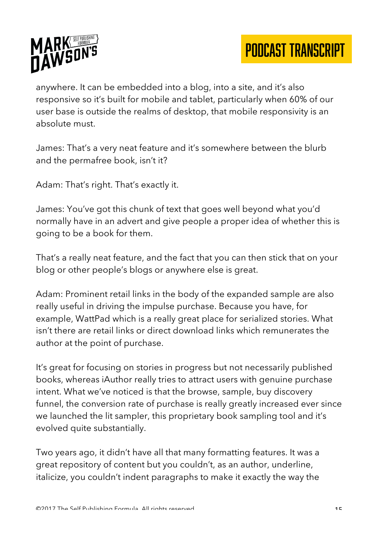

anywhere. It can be embedded into a blog, into a site, and it's also responsive so it's built for mobile and tablet, particularly when 60% of our user base is outside the realms of desktop, that mobile responsivity is an absolute must.

James: That's a very neat feature and it's somewhere between the blurb and the permafree book, isn't it?

Adam: That's right. That's exactly it.

James: You've got this chunk of text that goes well beyond what you'd normally have in an advert and give people a proper idea of whether this is going to be a book for them.

That's a really neat feature, and the fact that you can then stick that on your blog or other people's blogs or anywhere else is great.

Adam: Prominent retail links in the body of the expanded sample are also really useful in driving the impulse purchase. Because you have, for example, WattPad which is a really great place for serialized stories. What isn't there are retail links or direct download links which remunerates the author at the point of purchase.

It's great for focusing on stories in progress but not necessarily published books, whereas iAuthor really tries to attract users with genuine purchase intent. What we've noticed is that the browse, sample, buy discovery funnel, the conversion rate of purchase is really greatly increased ever since we launched the lit sampler, this proprietary book sampling tool and it's evolved quite substantially.

Two years ago, it didn't have all that many formatting features. It was a great repository of content but you couldn't, as an author, underline, italicize, you couldn't indent paragraphs to make it exactly the way the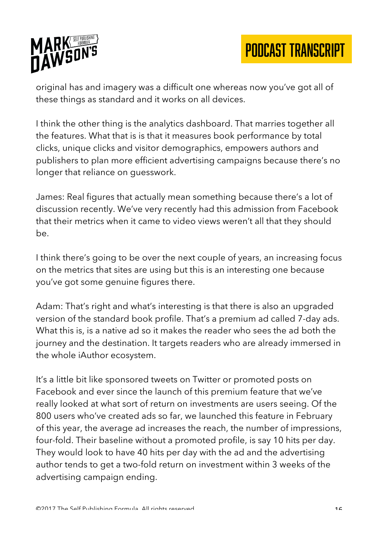

original has and imagery was a difficult one whereas now you've got all of these things as standard and it works on all devices.

I think the other thing is the analytics dashboard. That marries together all the features. What that is is that it measures book performance by total clicks, unique clicks and visitor demographics, empowers authors and publishers to plan more efficient advertising campaigns because there's no longer that reliance on guesswork.

James: Real figures that actually mean something because there's a lot of discussion recently. We've very recently had this admission from Facebook that their metrics when it came to video views weren't all that they should  $he$ 

I think there's going to be over the next couple of years, an increasing focus on the metrics that sites are using but this is an interesting one because you've got some genuine figures there.

Adam: That's right and what's interesting is that there is also an upgraded version of the standard book profile. That's a premium ad called 7-day ads. What this is, is a native ad so it makes the reader who sees the ad both the journey and the destination. It targets readers who are already immersed in the whole iAuthor ecosystem.

It's a little bit like sponsored tweets on Twitter or promoted posts on Facebook and ever since the launch of this premium feature that we've really looked at what sort of return on investments are users seeing. Of the 800 users who've created ads so far, we launched this feature in February of this year, the average ad increases the reach, the number of impressions, four-fold. Their baseline without a promoted profile, is say 10 hits per day. They would look to have 40 hits per day with the ad and the advertising author tends to get a two-fold return on investment within 3 weeks of the advertising campaign ending.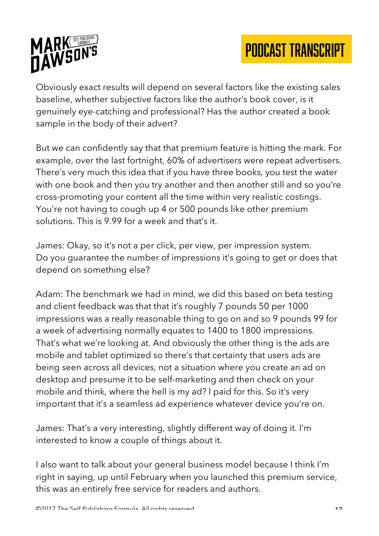

Obviously exact results will depend on several factors like the existing sales baseline, whether subjective factors like the author's book cover, is it genuinely eye-catching and professional? Has the author created a book sample in the body of their advert?

But we can confidently say that that premium feature is hitting the mark. For example, over the last fortnight, 60% of advertisers were repeat advertisers. There's very much this idea that if you have three books, you test the water with one book and then you try another and then another still and so you're cross-promoting your content all the time within very realistic costings. You're not having to cough up 4 or 500 pounds like other premium solutions. This is 9.99 for a week and that's it.

James: Okay, so it's not a per click, per view, per impression system. Do you guarantee the number of impressions it's going to get or does that depend on something else?

Adam: The benchmark we had in mind, we did this based on beta testing and client feedback was that that it's roughly 7 pounds 50 per 1000 impressions was a really reasonable thing to go on and so 9 pounds 99 for a week of advertising normally equates to 1400 to 1800 impressions. That's what we're looking at. And obviously the other thing is the ads are mobile and tablet optimized so there's that certainty that users ads are being seen across all devices, not a situation where you create an ad on desktop and presume it to be self-marketing and then check on your mobile and think, where the hell is my ad? I paid for this. So it's very important that it's a seamless ad experience whatever device you're on.

James: That's a very interesting, slightly different way of doing it. I'm interested to know a couple of things about it.

I also want to talk about your general business model because I think I'm right in saying, up until February when you launched this premium service, this was an entirely free service for readers and authors.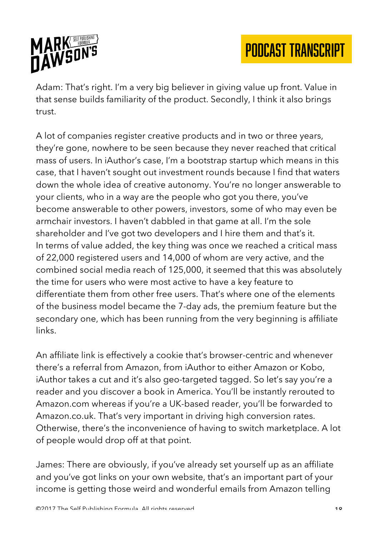

Adam: That's right. I'm a very big believer in giving value up front. Value in that sense builds familiarity of the product. Secondly, I think it also brings trust.

A lot of companies register creative products and in two or three years, they're gone, nowhere to be seen because they never reached that critical mass of users. In iAuthor's case, I'm a bootstrap startup which means in this case, that I haven't sought out investment rounds because I find that waters down the whole idea of creative autonomy. You're no longer answerable to your clients, who in a way are the people who got you there, you've become answerable to other powers, investors, some of who may even be armchair investors. I haven't dabbled in that game at all. I'm the sole shareholder and I've got two developers and I hire them and that's it. In terms of value added, the key thing was once we reached a critical mass of 22,000 registered users and 14,000 of whom are very active, and the combined social media reach of 125,000, it seemed that this was absolutely the time for users who were most active to have a key feature to differentiate them from other free users. That's where one of the elements of the business model became the 7-day ads, the premium feature but the secondary one, which has been running from the very beginning is affiliate links.

An affiliate link is effectively a cookie that's browser-centric and whenever there's a referral from Amazon, from iAuthor to either Amazon or Kobo, iAuthor takes a cut and it's also geo-targeted tagged. So let's say you're a reader and you discover a book in America. You'll be instantly rerouted to Amazon.com whereas if you're a UK-based reader, you'll be forwarded to Amazon.co.uk. That's very important in driving high conversion rates. Otherwise, there's the inconvenience of having to switch marketplace. A lot of people would drop off at that point.

James: There are obviously, if you've already set yourself up as an affiliate and you've got links on your own website, that's an important part of your income is getting those weird and wonderful emails from Amazon telling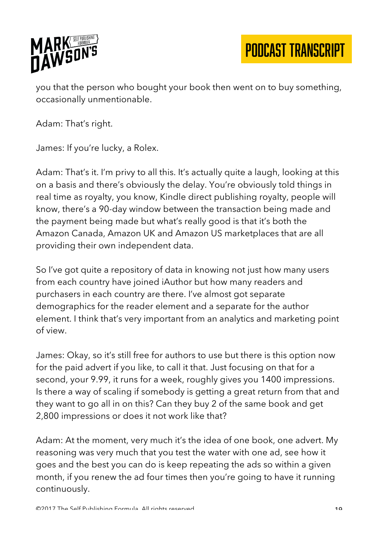

you that the person who bought your book then went on to buy something, occasionally unmentionable.

Adam: That's right.

James: If you're lucky, a Rolex.

Adam: That's it. I'm privy to all this. It's actually quite a laugh, looking at this on a basis and there's obviously the delay. You're obviously told things in real time as royalty, you know, Kindle direct publishing royalty, people will know, there's a 90-day window between the transaction being made and the payment being made but what's really good is that it's both the Amazon Canada, Amazon UK and Amazon US marketplaces that are all providing their own independent data.

So I've got quite a repository of data in knowing not just how many users from each country have joined iAuthor but how many readers and purchasers in each country are there. I've almost got separate demographics for the reader element and a separate for the author element. I think that's very important from an analytics and marketing point of view.

James: Okay, so it's still free for authors to use but there is this option now for the paid advert if you like, to call it that. Just focusing on that for a second, your 9.99, it runs for a week, roughly gives you 1400 impressions. Is there a way of scaling if somebody is getting a great return from that and they want to go all in on this? Can they buy 2 of the same book and get 2,800 impressions or does it not work like that?

Adam: At the moment, very much it's the idea of one book, one advert. My reasoning was very much that you test the water with one ad, see how it goes and the best you can do is keep repeating the ads so within a given month, if you renew the ad four times then you're going to have it running continuously.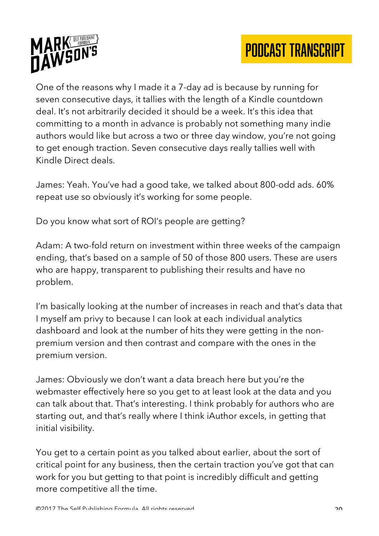



One of the reasons why I made it a 7-day ad is because by running for seven consecutive days, it tallies with the length of a Kindle countdown deal. It's not arbitrarily decided it should be a week. It's this idea that committing to a month in advance is probably not something many indie authors would like but across a two or three day window, you're not going to get enough traction. Seven consecutive days really tallies well with Kindle Direct deals.

James: Yeah. You've had a good take, we talked about 800-odd ads. 60% repeat use so obviously it's working for some people.

Do you know what sort of ROI's people are getting?

Adam: A two-fold return on investment within three weeks of the campaign ending, that's based on a sample of 50 of those 800 users. These are users who are happy, transparent to publishing their results and have no problem.

I'm basically looking at the number of increases in reach and that's data that I myself am privy to because I can look at each individual analytics dashboard and look at the number of hits they were getting in the nonpremium version and then contrast and compare with the ones in the premium version.

James: Obviously we don't want a data breach here but you're the webmaster effectively here so you get to at least look at the data and you can talk about that. That's interesting. I think probably for authors who are starting out, and that's really where I think iAuthor excels, in getting that initial visibility.

You get to a certain point as you talked about earlier, about the sort of critical point for any business, then the certain traction you've got that can work for you but getting to that point is incredibly difficult and getting more competitive all the time.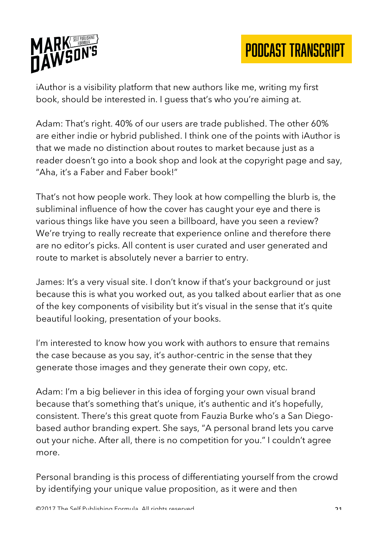

iAuthor is a visibility platform that new authors like me, writing my first book, should be interested in. I guess that's who you're aiming at.

Adam: That's right. 40% of our users are trade published. The other 60% are either indie or hybrid published. I think one of the points with iAuthor is that we made no distinction about routes to market because just as a reader doesn't go into a book shop and look at the copyright page and say, "Aha, it's a Faber and Faber book!"

That's not how people work. They look at how compelling the blurb is, the subliminal influence of how the cover has caught your eye and there is various things like have you seen a billboard, have you seen a review? We're trying to really recreate that experience online and therefore there are no editor's picks. All content is user curated and user generated and route to market is absolutely never a barrier to entry.

James: It's a very visual site. I don't know if that's your background or just because this is what you worked out, as you talked about earlier that as one of the key components of visibility but it's visual in the sense that it's quite beautiful looking, presentation of your books.

I'm interested to know how you work with authors to ensure that remains the case because as you say, it's author-centric in the sense that they generate those images and they generate their own copy, etc.

Adam: I'm a big believer in this idea of forging your own visual brand because that's something that's unique, it's authentic and it's hopefully, consistent. There's this great quote from Fauzia Burke who's a San Diegobased author branding expert. She says, "A personal brand lets you carve out your niche. After all, there is no competition for you." I couldn't agree more.

Personal branding is this process of differentiating yourself from the crowd by identifying your unique value proposition, as it were and then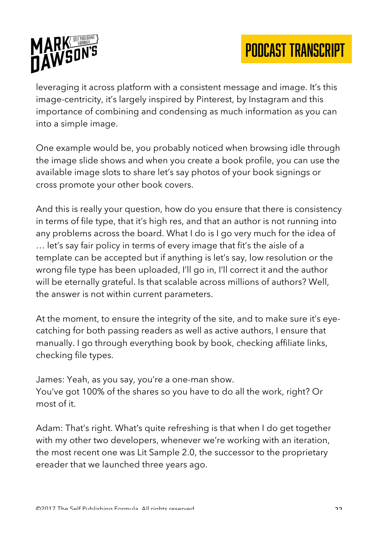

leveraging it across platform with a consistent message and image. It's this image-centricity, it's largely inspired by Pinterest, by Instagram and this importance of combining and condensing as much information as you can into a simple image.

One example would be, you probably noticed when browsing idle through the image slide shows and when you create a book profile, you can use the available image slots to share let's say photos of your book signings or cross promote your other book covers.

And this is really your question, how do you ensure that there is consistency in terms of file type, that it's high res, and that an author is not running into any problems across the board. What I do is I go very much for the idea of … let's say fair policy in terms of every image that fit's the aisle of a template can be accepted but if anything is let's say, low resolution or the wrong file type has been uploaded, I'll go in, I'll correct it and the author will be eternally grateful. Is that scalable across millions of authors? Well, the answer is not within current parameters.

At the moment, to ensure the integrity of the site, and to make sure it's eyecatching for both passing readers as well as active authors, I ensure that manually. I go through everything book by book, checking affiliate links, checking file types.

James: Yeah, as you say, you're a one-man show. You've got 100% of the shares so you have to do all the work, right? Or most of it.

Adam: That's right. What's quite refreshing is that when I do get together with my other two developers, whenever we're working with an iteration, the most recent one was Lit Sample 2.0, the successor to the proprietary ereader that we launched three years ago.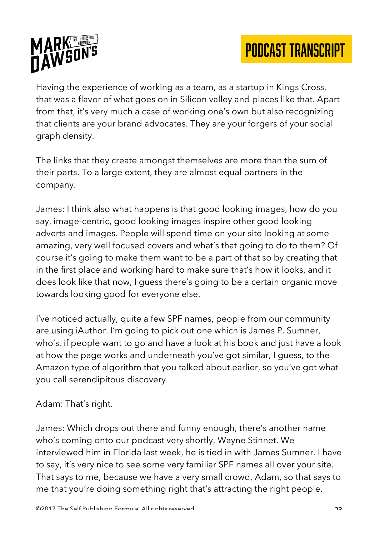

Having the experience of working as a team, as a startup in Kings Cross, that was a flavor of what goes on in Silicon valley and places like that. Apart from that, it's very much a case of working one's own but also recognizing that clients are your brand advocates. They are your forgers of your social graph density.

The links that they create amongst themselves are more than the sum of their parts. To a large extent, they are almost equal partners in the company.

James: I think also what happens is that good looking images, how do you say, image-centric, good looking images inspire other good looking adverts and images. People will spend time on your site looking at some amazing, very well focused covers and what's that going to do to them? Of course it's going to make them want to be a part of that so by creating that in the first place and working hard to make sure that's how it looks, and it does look like that now, I guess there's going to be a certain organic move towards looking good for everyone else.

I've noticed actually, quite a few SPF names, people from our community are using iAuthor. I'm going to pick out one which is James P. Sumner, who's, if people want to go and have a look at his book and just have a look at how the page works and underneath you've got similar, I guess, to the Amazon type of algorithm that you talked about earlier, so you've got what you call serendipitous discovery.

#### Adam: That's right.

James: Which drops out there and funny enough, there's another name who's coming onto our podcast very shortly, Wayne Stinnet. We interviewed him in Florida last week, he is tied in with James Sumner. I have to say, it's very nice to see some very familiar SPF names all over your site. That says to me, because we have a very small crowd, Adam, so that says to me that you're doing something right that's attracting the right people.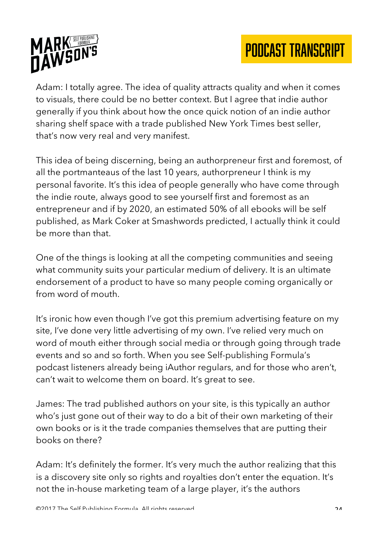

Adam: I totally agree. The idea of quality attracts quality and when it comes to visuals, there could be no better context. But I agree that indie author generally if you think about how the once quick notion of an indie author sharing shelf space with a trade published New York Times best seller, that's now very real and very manifest.

This idea of being discerning, being an authorpreneur first and foremost, of all the portmanteaus of the last 10 years, authorpreneur I think is my personal favorite. It's this idea of people generally who have come through the indie route, always good to see yourself first and foremost as an entrepreneur and if by 2020, an estimated 50% of all ebooks will be self published, as Mark Coker at Smashwords predicted, I actually think it could be more than that.

One of the things is looking at all the competing communities and seeing what community suits your particular medium of delivery. It is an ultimate endorsement of a product to have so many people coming organically or from word of mouth.

It's ironic how even though I've got this premium advertising feature on my site, I've done very little advertising of my own. I've relied very much on word of mouth either through social media or through going through trade events and so and so forth. When you see Self-publishing Formula's podcast listeners already being iAuthor regulars, and for those who aren't, can't wait to welcome them on board. It's great to see.

James: The trad published authors on your site, is this typically an author who's just gone out of their way to do a bit of their own marketing of their own books or is it the trade companies themselves that are putting their books on there?

Adam: It's definitely the former. It's very much the author realizing that this is a discovery site only so rights and royalties don't enter the equation. It's not the in-house marketing team of a large player, it's the authors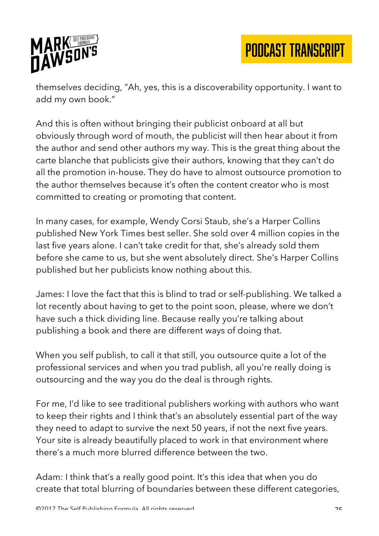

themselves deciding, "Ah, yes, this is a discoverability opportunity. I want to add my own book."

And this is often without bringing their publicist onboard at all but obviously through word of mouth, the publicist will then hear about it from the author and send other authors my way. This is the great thing about the carte blanche that publicists give their authors, knowing that they can't do all the promotion in-house. They do have to almost outsource promotion to the author themselves because it's often the content creator who is most committed to creating or promoting that content.

In many cases, for example, Wendy Corsi Staub, she's a Harper Collins published New York Times best seller. She sold over 4 million copies in the last five years alone. I can't take credit for that, she's already sold them before she came to us, but she went absolutely direct. She's Harper Collins published but her publicists know nothing about this.

James: I love the fact that this is blind to trad or self-publishing. We talked a lot recently about having to get to the point soon, please, where we don't have such a thick dividing line. Because really you're talking about publishing a book and there are different ways of doing that.

When you self publish, to call it that still, you outsource quite a lot of the professional services and when you trad publish, all you're really doing is outsourcing and the way you do the deal is through rights.

For me, I'd like to see traditional publishers working with authors who want to keep their rights and I think that's an absolutely essential part of the way they need to adapt to survive the next 50 years, if not the next five years. Your site is already beautifully placed to work in that environment where there's a much more blurred difference between the two.

Adam: I think that's a really good point. It's this idea that when you do create that total blurring of boundaries between these different categories,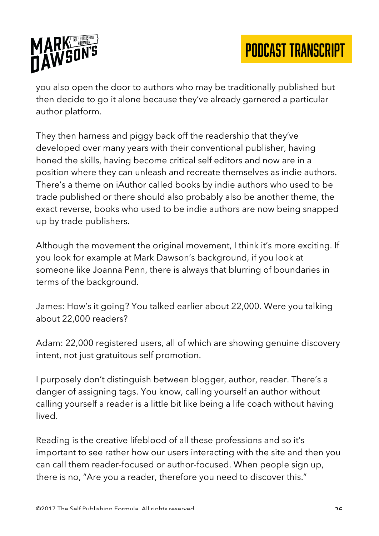

you also open the door to authors who may be traditionally published but then decide to go it alone because they've already garnered a particular author platform.

They then harness and piggy back off the readership that they've developed over many years with their conventional publisher, having honed the skills, having become critical self editors and now are in a position where they can unleash and recreate themselves as indie authors. There's a theme on iAuthor called books by indie authors who used to be trade published or there should also probably also be another theme, the exact reverse, books who used to be indie authors are now being snapped up by trade publishers.

Although the movement the original movement, I think it's more exciting. If you look for example at Mark Dawson's background, if you look at someone like Joanna Penn, there is always that blurring of boundaries in terms of the background.

James: How's it going? You talked earlier about 22,000. Were you talking about 22,000 readers?

Adam: 22,000 registered users, all of which are showing genuine discovery intent, not just gratuitous self promotion.

I purposely don't distinguish between blogger, author, reader. There's a danger of assigning tags. You know, calling yourself an author without calling yourself a reader is a little bit like being a life coach without having lived.

Reading is the creative lifeblood of all these professions and so it's important to see rather how our users interacting with the site and then you can call them reader-focused or author-focused. When people sign up, there is no, "Are you a reader, therefore you need to discover this."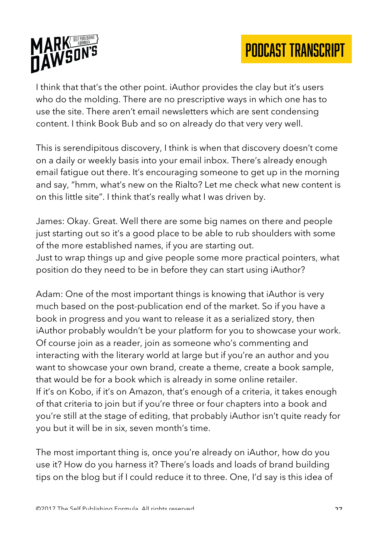



I think that that's the other point. iAuthor provides the clay but it's users who do the molding. There are no prescriptive ways in which one has to use the site. There aren't email newsletters which are sent condensing content. I think Book Bub and so on already do that very very well.

This is serendipitous discovery, I think is when that discovery doesn't come on a daily or weekly basis into your email inbox. There's already enough email fatigue out there. It's encouraging someone to get up in the morning and say, "hmm, what's new on the Rialto? Let me check what new content is on this little site". I think that's really what I was driven by.

James: Okay. Great. Well there are some big names on there and people just starting out so it's a good place to be able to rub shoulders with some of the more established names, if you are starting out. Just to wrap things up and give people some more practical pointers, what position do they need to be in before they can start using iAuthor?

Adam: One of the most important things is knowing that iAuthor is very much based on the post-publication end of the market. So if you have a book in progress and you want to release it as a serialized story, then iAuthor probably wouldn't be your platform for you to showcase your work. Of course join as a reader, join as someone who's commenting and interacting with the literary world at large but if you're an author and you want to showcase your own brand, create a theme, create a book sample, that would be for a book which is already in some online retailer. If it's on Kobo, if it's on Amazon, that's enough of a criteria, it takes enough of that criteria to join but if you're three or four chapters into a book and you're still at the stage of editing, that probably iAuthor isn't quite ready for you but it will be in six, seven month's time.

The most important thing is, once you're already on iAuthor, how do you use it? How do you harness it? There's loads and loads of brand building tips on the blog but if I could reduce it to three. One, I'd say is this idea of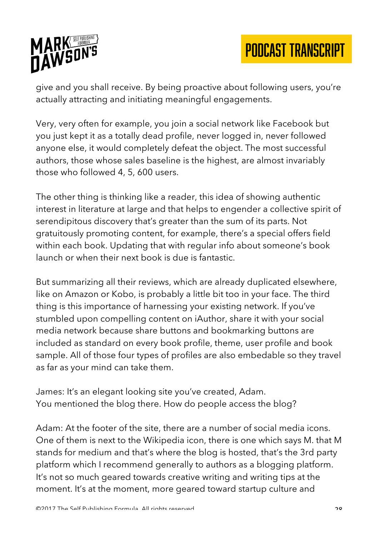

give and you shall receive. By being proactive about following users, you're actually attracting and initiating meaningful engagements.

Very, very often for example, you join a social network like Facebook but you just kept it as a totally dead profile, never logged in, never followed anyone else, it would completely defeat the object. The most successful authors, those whose sales baseline is the highest, are almost invariably those who followed 4, 5, 600 users.

The other thing is thinking like a reader, this idea of showing authentic interest in literature at large and that helps to engender a collective spirit of serendipitous discovery that's greater than the sum of its parts. Not gratuitously promoting content, for example, there's a special offers field within each book. Updating that with regular info about someone's book launch or when their next book is due is fantastic.

But summarizing all their reviews, which are already duplicated elsewhere, like on Amazon or Kobo, is probably a little bit too in your face. The third thing is this importance of harnessing your existing network. If you've stumbled upon compelling content on iAuthor, share it with your social media network because share buttons and bookmarking buttons are included as standard on every book profile, theme, user profile and book sample. All of those four types of profiles are also embedable so they travel as far as your mind can take them.

James: It's an elegant looking site you've created, Adam. You mentioned the blog there. How do people access the blog?

Adam: At the footer of the site, there are a number of social media icons. One of them is next to the Wikipedia icon, there is one which says M. that M stands for medium and that's where the blog is hosted, that's the 3rd party platform which I recommend generally to authors as a blogging platform. It's not so much geared towards creative writing and writing tips at the moment. It's at the moment, more geared toward startup culture and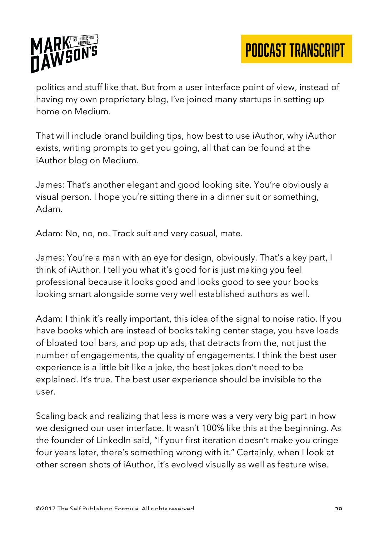

politics and stuff like that. But from a user interface point of view, instead of having my own proprietary blog, I've joined many startups in setting up home on Medium.

That will include brand building tips, how best to use iAuthor, why iAuthor exists, writing prompts to get you going, all that can be found at the iAuthor blog on Medium.

James: That's another elegant and good looking site. You're obviously a visual person. I hope you're sitting there in a dinner suit or something, Adam.

Adam: No, no, no. Track suit and very casual, mate.

James: You're a man with an eye for design, obviously. That's a key part, I think of iAuthor. I tell you what it's good for is just making you feel professional because it looks good and looks good to see your books looking smart alongside some very well established authors as well.

Adam: I think it's really important, this idea of the signal to noise ratio. If you have books which are instead of books taking center stage, you have loads of bloated tool bars, and pop up ads, that detracts from the, not just the number of engagements, the quality of engagements. I think the best user experience is a little bit like a joke, the best jokes don't need to be explained. It's true. The best user experience should be invisible to the user.

Scaling back and realizing that less is more was a very very big part in how we designed our user interface. It wasn't 100% like this at the beginning. As the founder of LinkedIn said, "If your first iteration doesn't make you cringe four years later, there's something wrong with it." Certainly, when I look at other screen shots of iAuthor, it's evolved visually as well as feature wise.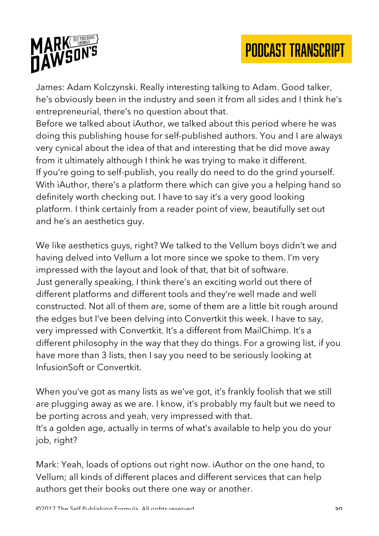

James: Adam Kolczynski. Really interesting talking to Adam. Good talker, he's obviously been in the industry and seen it from all sides and I think he's entrepreneurial, there's no question about that.

Before we talked about iAuthor, we talked about this period where he was doing this publishing house for self-published authors. You and I are always very cynical about the idea of that and interesting that he did move away from it ultimately although I think he was trying to make it different. If you're going to self-publish, you really do need to do the grind yourself. With iAuthor, there's a platform there which can give you a helping hand so definitely worth checking out. I have to say it's a very good looking platform. I think certainly from a reader point of view, beautifully set out and he's an aesthetics guy.

We like aesthetics guys, right? We talked to the Vellum boys didn't we and having delved into Vellum a lot more since we spoke to them. I'm very impressed with the layout and look of that, that bit of software. Just generally speaking, I think there's an exciting world out there of different platforms and different tools and they're well made and well constructed. Not all of them are, some of them are a little bit rough around the edges but I've been delving into Convertkit this week. I have to say, very impressed with Convertkit. It's a different from MailChimp. It's a different philosophy in the way that they do things. For a growing list, if you have more than 3 lists, then I say you need to be seriously looking at InfusionSoft or Convertkit.

When you've got as many lists as we've got, it's frankly foolish that we still are plugging away as we are. I know, it's probably my fault but we need to be porting across and yeah, very impressed with that. It's a golden age, actually in terms of what's available to help you do your job, right?

Mark: Yeah, loads of options out right now. iAuthor on the one hand, to Vellum; all kinds of different places and different services that can help authors get their books out there one way or another.